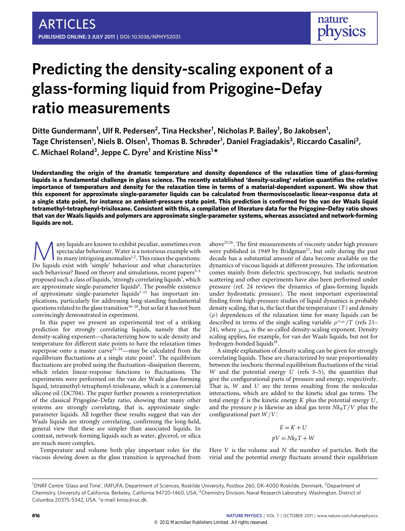# **Predicting the density-scaling exponent of a glass-forming liquid from Prigogine–Defay ratio measurements**

**Ditte Gundermann<sup>1</sup> , Ulf R. Pedersen<sup>2</sup> , Tina Hecksher<sup>1</sup> , Nicholas P. Bailey<sup>1</sup> , Bo Jakobsen<sup>1</sup> , Tage Christensen<sup>1</sup> , Niels B. Olsen<sup>1</sup> , Thomas B. Schrøder<sup>1</sup> , Daniel Fragiadakis<sup>3</sup> , Riccardo Casalini<sup>3</sup> , C. Michael Roland<sup>3</sup> , Jeppe C. Dyre<sup>1</sup> and Kristine Niss<sup>1</sup> \***

**Understanding the origin of the dramatic temperature and density dependence of the relaxation time of glass-forming liquids is a fundamental challenge in glass science. The recently established 'density-scaling' relation quantifies the relative importance of temperature and density for the relaxation time in terms of a material-dependent exponent. We show that this exponent for approximate single-parameter liquids can be calculated from thermoviscoelastic linear-response data at a single state point, for instance an ambient-pressure state point. This prediction is confirmed for the van der Waals liquid tetramethyl-tetraphenyl-trisiloxane. Consistent with this, a compilation of literature data for the Prigogine–Defay ratio shows that van der Waals liquids and polymers are approximate single-parameter systems, whereas associated and network-forming liquids are not.**

Many liquids are known to exhibit peculiar, sometimes even<br>spectacular behaviour. Water is a notorious example with<br>its many intriguing anomalies<sup>1,2</sup>. This raises the questions:<br>Do liquids exist with 'simple' behaviour an any liquids are known to exhibit peculiar, sometimes even spectacular behaviour. Water is a notorious example with its many intriguing anomalies<sup>[1](#page-4-0)[,2](#page-4-1)</sup>. This raises the questions: such behaviour? Based on theory and simulations, recent papers<sup>3-[5](#page-4-3)</sup> proposed such a class of liquids, 'strongly correlating liquids', which are approximate single-parameter liquids<sup>[6](#page-4-4)</sup>. The possible existence of approximate single-parameter liquids<sup>7-[15](#page-5-0)</sup> has important implications, particularly for addressing long-standing fundamental questions related to the glass transition<sup>[16](#page-5-1)[–20](#page-5-2)</sup>, but so far it has not been convincingly demonstrated in experiment.

In this paper we present an experimental test of a striking prediction for strongly correlating liquids, namely that the density-scaling exponent—characterizing how to scale density and temperature for different state points to have the relaxation times superpose onto a master curve<sup>[21](#page-5-3)-24</sup>—may be calculated from the equilibrium fluctuations at a single state point<sup>[5](#page-4-3)</sup>. The equilibrium fluctuations are probed using the fluctuation–dissipation theorem, which relates linear-response functions to fluctuations. The experiments were performed on the van der Waals glass-forming liquid, tetramethyl-tetraphenyl-trisiloxane, which is a commercial silicone oil (DC704). The paper further presents a reinterpretation of the classical Prigogine–Defay ratio, showing that many other systems are strongly correlating, that is, approximate singleparameter liquids. All together these results suggest that van der Waals liquids are strongly correlating, confirming the long-held, general view that these are simpler than associated liquids. In contrast, network-forming liquids such as water, glycerol, or silica are much more complex.

Temperature and volume both play important roles for the viscous slowing down as the glass transition is approached from above[25](#page-5-5)[,26](#page-5-6). The first measurements of viscosity under high pressure were published in 1949 by Bridgman<sup>[27](#page-5-7)</sup>, but only during the past decade has a substantial amount of data become available on the dynamics of viscous liquids at different pressures. The information comes mainly from dielectric spectroscopy, but inelastic neutron scattering and other experiments have also been performed under pressure (ref. [24](#page-5-4) reviews the dynamics of glass-forming liquids under hydrostatic pressure). The most important experimental finding from high-pressure studies of liquid dynamics is probably density scaling, that is, the fact that the temperature (*T*) and density  $(\rho)$  dependences of the relaxation time for many liquids can be described in terms of the single scaling variable  $ρ<sup>γ<sub>scale</sub></sup>/T$  (refs [21–](#page-5-3) [24\)](#page-5-4), where  $\gamma_{\text{scale}}$  is the so-called density-scaling exponent. Density scaling applies, for example, for van der Waals liquids, but not for hydrogen-bonded liquids<sup>[28](#page-5-8)</sup>.

A simple explanation of density scaling can be given for strongly correlating liquids. These are characterized by near proportionality between the isochoric thermal equilibrium fluctuations of the virial *W* and the potential energy  $\overline{U}$  (refs [3](#page-4-2)[–5\)](#page-4-3), the quantities that give the configurational parts of pressure and energy, respectively. That is, *W* and *U* are the terms resulting from the molecular interactions, which are added to the kinetic ideal gas terms. The total energy *E* is the kinetic energy *K* plus the potential energy *U*, and the pressure  $p$  is likewise an ideal gas term  $Nk_B T/V$  plus the configurational part *W* /*V*:

$$
E = K + U
$$

$$
pV = Nk_B T + W
$$

Here *V* is the volume and *N* the number of particles. Both the virial and the potential energy fluctuate around their equilibrium

<sup>1</sup>DNRF Centre 'Glass and Time', IMFUFA, Department of Sciences, Roskilde University, Postbox 260, DK-4000 Roskilde, Denmark, <sup>2</sup>Department of Chemistry, University of California, Berkeley, California 94720-1460, USA, <sup>3</sup>Chemistry Division, Naval Research Laboratory, Washington, District of Columbia 20375-5342, USA. \*e-mail: [kniss@ruc.dk.](mailto:kniss@ruc.dk)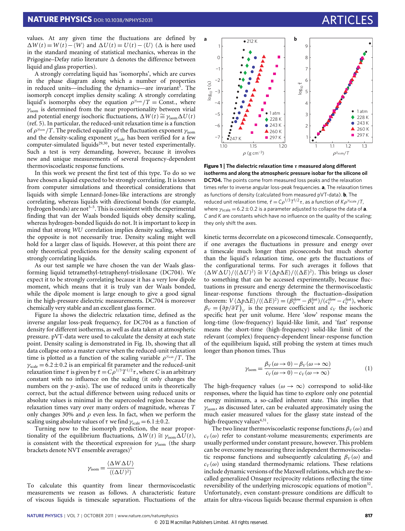values. At any given time the fluctuations are defined by  $\Delta W(t) = W(t) - \langle W \rangle$  and  $\Delta U(t) = U(t) - \langle U \rangle$  ( $\Delta$  is here used in the standard meaning of statistical mechanics, whereas in the Prigogine–Defay ratio literature  $\Delta$  denotes the difference between liquid and glass properties).

A strongly correlating liquid has 'isomorphs', which are curves in the phase diagram along which a number of properties in reduced units—including the dynamics—are invariant<sup>[5](#page-4-3)</sup>. The isomorph concept implies density scaling: A strongly correlating liquid's isomorphs obey the equation  $\rho^{\gamma_{\text{isom}}}/T = \text{Const.}$ , where  $\gamma_{\rm isom}$  is determined from the near proportionality between virial and potential energy isochoric fluctuations,  $\Delta W(t) \cong \gamma_{\text{isom}} \Delta U(t)$ (ref. [5\)](#page-4-3). In particular, the reduced-unit relaxation time is a function of  $\rho^{\gamma_{\text{som}}}/T.$  The predicted equality of the fluctuation exponent  $\gamma_{\text{isom}}$ and the density-scaling exponent  $\gamma_{\text{scale}}$  has been verified for a few computer-simulated liquids<sup>[29,](#page-5-9)[30](#page-5-10)</sup>, but never tested experimentally. Such a test is very demanding, however, because it involves new and unique measurements of several frequency-dependent thermoviscoelastic response functions.

In this work we present the first test of this type. To do so we have chosen a liquid expected to be strongly correlating. It is known from computer simulations and theoretical considerations that liquids with simple Lennard-Jones-like interactions are strongly correlating, whereas liquids with directional bonds (for example, hydrogen bonds) are not<sup> $3-5$  $3-5$ </sup>. This is consistent with the experimental finding that van der Waals bonded liquids obey density scaling, whereas hydrogen-bonded liquids do not. It is important to keep in mind that strong *WU* correlation implies density scaling, whereas the opposite is not necessarily true. Density scaling might well hold for a larger class of liquids. However, at this point there are only theoretical predictions for the density scaling exponent of strongly correlating liquids.

As our test sample we have chosen the van der Waals glassforming liquid tetramethyl-tetraphenyl-trisiloxane (DC704). We expect it to be strongly correlating because it has a very low dipole moment, which means that it is truly van der Waals bonded, while the dipole moment is large enough to give a good signal in the high-pressure dielectric measurements. DC704 is moreover chemically very stable and an excellent glass former.

[Figure 1a](#page-1-0) shows the dielectric relaxation time, defined as the inverse angular loss-peak frequency, for DC704 as a function of density for different isotherms, as well as data taken at atmospheric pressure. pVT-data were used to calculate the density at each state point. Density scaling is demonstrated in [Fig. 1b](#page-1-0), showing that all data collapse onto a master curve when the reduced-unit relaxation time is plotted as a function of the scaling variable  $\rho^{\gamma_{scale}}/T$ . The  $\gamma_{\text{scale}} = 6.2 \pm 0.2$  is an empirical fit parameter and the reduced-unit relaxation time  $\tilde{\tau}$  is given by  $\tilde{\tau} = C \rho^{1/3} T^{1/2} \tau$ , where *C* is an arbitrary constant with no influence on the scaling (it only changes the numbers on the  $y$ -axis). The use of reduced units is theoretically correct, but the actual difference between using reduced units or absolute values is minimal in the supercooled region because the relaxation times vary over many orders of magnitude, whereas *T* only changes 30% and  $\rho$  even less. In fact, when we perform the scaling using absolute values of  $\tau$  we find  $\gamma_{\text{scale}} = 6.1 \pm 0.2$ .

Turning now to the isomorph prediction, the near proportionality of the equilibrium fluctuations,  $\Delta W(t) \cong \gamma_{\text{isom}} \Delta U(t)$ , is consistent with the theoretical expression for  $\gamma_{\rm isom}$  (the sharp brackets denote NVT ensemble averages)<sup>[5](#page-4-3)</sup>

$$
\gamma_{\text{isom}} = \frac{\langle \Delta W \Delta U \rangle}{\langle (\Delta U)^2 \rangle}
$$

To calculate this quantity from linear thermoviscoelastic measurements we reason as follows. A characteristic feature of viscous liquids is timescale separation. Fluctuations of the



<span id="page-1-0"></span>**Figure 1** | **The dielectric relaxation time** τ **measured along different isotherms and along the atmospheric pressure isobar for the silicone oil DC704.** The points come from measured loss peaks and the relaxation times refer to inverse angular loss-peak frequencies. **a**, The relaxation times as functions of density (calculated from measured pVT-data). **b**, The reduced unit relaxation time,  $\tilde{\tau} = C \rho^{1/3} T^{1/2} \tau$ , as a function of  $K \rho^{\gamma_{scale}} / T$ , where  $\gamma_{\text{scale}} = 6.2 \pm 0.2$  is a parameter adjusted to collapse the data of **a**. *C* and *K* are constants which have no influence on the quality of the scaling; they only shift the axes.

kinetic terms decorrelate on a picosecond timescale. Consequently, if one averages the fluctuations in pressure and energy over a timescale much longer than picoseconds but much shorter than the liquid's relaxation time, one gets the fluctuations of the configurational terms. For such averages it follows that  $\langle \Delta W \Delta U \rangle / \langle (\Delta U)^2 \rangle \cong V \langle \Delta p \Delta E \rangle / \langle (\Delta E)^2 \rangle$ . This brings us closer to something that can be accessed experimentally, because fluctuations in pressure and energy determine the thermoviscoelastic linear-response functions through the fluctuation–dissipation theorem:  $V \langle \Delta p \Delta E \rangle / \langle (\Delta E)^2 \rangle = (\beta_V^{\text{slow}} - \beta_V^{\text{fast}}) / (c_V^{\text{slow}} - c_V^{\text{fast}})$ , where  $\beta_V = (\partial p/\partial T)_V$  is the pressure coefficient and  $c_V$  the isochoric specific heat per unit volume. Here 'slow' response means the long-time (low-frequency) liquid-like limit, and 'fast' response means the short-time (high-frequency) solid-like limit of the relevant (complex) frequency-dependent linear-response function of the equilibrium liquid, still probing the system at times much longer than phonon times. Thus

<span id="page-1-1"></span>
$$
\gamma_{\text{isom}} = \frac{\beta_V(\omega \to 0) - \beta_V(\omega \to \infty)}{c_V(\omega \to 0) - c_V(\omega \to \infty)}\tag{1}
$$

The high-frequency values ( $\omega \rightarrow \infty$ ) correspond to solid-like responses, where the liquid has time to explore only one potential energy minimum, a so-called inherent state. This implies that  $\gamma_{\rm isom}$ , as discussed later, can be evaluated approximately using the much easier measured values for the glassy state instead of the high-frequency values<sup>[4](#page-4-6)[,31](#page-5-11)</sup>.

The two linear thermoviscoelastic response functions  $\beta_V(\omega)$  and  $c_V(\omega)$  refer to constant-volume measurements; experiments are usually performed under constant pressure, however. This problem can be overcome by measuring three independent thermoviscoelastic response functions and subsequently calculating  $\beta_V(\omega)$  and  $c_V(\omega)$  using standard thermodynamic relations. These relations include dynamic versions of the Maxwell relations, which are the socalled generalized Onsager reciprocity relations reflecting the time reversibility of the underlying microscopic equations of motion<sup>[32](#page-5-12)</sup>. Unfortunately, even constant-pressure conditions are difficult to attain for ultra-viscous liquids because thermal expansion is often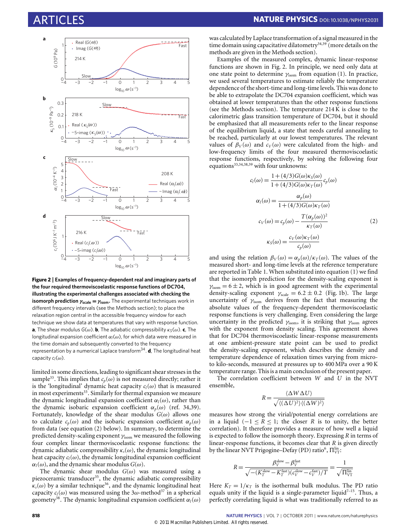

<span id="page-2-1"></span>**Figure 2** | **Examples of frequency-dependent real and imaginary parts of the four required thermoviscoelastic response functions of DC704, illustrating the experimental challenges associated with checking the isomorph prediction** γ**scale** = γ**isom.** The experimental techniques work in different frequency intervals (see the Methods section); to place the relaxation region central in the accessible frequency window for each technique we show data at temperatures that vary with response function. **a**, The shear modulus  $G(\omega)$ . **b**, The adiabatic compressibility  $\kappa_S(\omega)$ . **c**, The longitudinal expansion coefficient  $\alpha_l(\omega)$ , for which data were measured in the time domain and subsequently converted to the frequency representation by a numerical Laplace transform<sup>[34](#page-5-13)</sup>. **d**, The longitudinal heat capacity *cl*(ω).

limited in some directions, leading to significant shear stresses in the sample<sup>[33](#page-5-14)</sup>. This implies that  $c_p(\omega)$  is not measured directly; rather it is the 'longitudinal' dynamic heat capacity  $c_l(\omega)$  that is measured in most experiments<sup>[33](#page-5-14)</sup>. Similarly for thermal expansion we measure the dynamic longitudinal expansion coefficient  $\alpha_l(\omega)$ , rather than the dynamic isobaric expansion coefficient  $\alpha_p(\omega)$  (ref. [34,](#page-5-13)[39\)](#page-5-15). Fortunately, knowledge of the shear modulus  $G(\omega)$  allows one to calculate  $c_p(\omega)$  and the isobaric expansion coefficient  $\alpha_p(\omega)$ from data (see equation [\(2\)](#page-2-0) below). In summary, to determine the predicted density-scaling exponent  $\gamma_\mathrm{isom}$  we measured the following four complex linear thermoviscoelastic response functions: the dynamic adiabatic compressibility κ*s*(ω), the dynamic longitudinal heat capacity  $c_l(\omega)$ , the dynamic longitudinal expansion coefficient  $\alpha_l(\omega)$ , and the dynamic shear modulus  $G(\omega)$ .

The dynamic shear modulus  $G(\omega)$  was measured using a piezoceramic transducer<sup>[35](#page-5-16)</sup>, the dynamic adiabatic compressibility  $\kappa_s(\omega)$  by a similar technique<sup>[36](#page-5-17)</sup>, and the dynamic longitudinal heat capacity  $c_l(\omega)$  was measured using the 3 $\omega$ -method<sup>[37](#page-5-18)</sup> in a spherical geometry<sup>[38](#page-5-19)</sup>. The dynamic longitudinal expansion coefficient  $\alpha_l(\omega)$ 

was calculated by Laplace transformation of a signal measured in the time domain using capacitative dilatometry<sup>[34](#page-5-13)[,39](#page-5-15)</sup> (more details on the methods are given in the Methods section).

Examples of the measured complex, dynamic linear-response functions are shown in [Fig. 2.](#page-2-1) In principle, we need only data at one state point to determine  $\gamma_{\text{isom}}$  from equation [\(1\)](#page-1-1). In practice, we used several temperatures to estimate reliably the temperature dependence of the short-time and long-time levels. This was done to be able to extrapolate the DC704 expansion coefficient, which was obtained at lower temperatures than the other response functions (see the Methods section). The temperature 214 K is close to the calorimetric glass transition temperature of DC704, but it should be emphasized that all measurements refer to the linear response of the equilibrium liquid, a state that needs careful annealing to be reached, particularly at our lowest temperatures. The relevant values of  $β_V(ω)$  and  $c_V(ω)$  were calculated from the high- and low-frequency limits of the four measured thermoviscoelastic response functions, respectively, by solving the following four equations<sup>[33](#page-5-14)[,34,](#page-5-13)[38](#page-5-19)[,39](#page-5-15)</sup> with four unknowns:

<span id="page-2-0"></span>
$$
c_l(\omega) = \frac{1 + (4/3)G(\omega)\kappa_S(\omega)}{1 + (4/3)G(\omega)\kappa_T(\omega)} c_p(\omega)
$$
  
\n
$$
\alpha_l(\omega) = \frac{\alpha_p(\omega)}{1 + (4/3)G(\omega)\kappa_T(\omega)}
$$
  
\n
$$
c_V(\omega) = c_p(\omega) - \frac{T(\alpha_p(\omega))^2}{\kappa_T(\omega)}
$$
  
\n
$$
\kappa_S(\omega) = \frac{c_V(\omega)\kappa_T(\omega)}{c_p(\omega)}
$$
\n(2)

and using the relation  $\beta_V(\omega) = \alpha_p(\omega)/\kappa_T(\omega)$ . The values of the measured short- and long-time levels at the reference temperature are reported in [Table 1.](#page-3-0) When substituted into equation [\(1\)](#page-1-1) we find that the isomorph prediction for the density-scaling exponent is  $\gamma_{\rm isom} = 6 \pm 2$ , which is in good agreement with the experimental density-scaling exponent  $\gamma_{\text{scale}} = 6.2 \pm 0.2$  [\(Fig. 1b](#page-1-0)). The large uncertainty of  $\gamma_{\text{isom}}$  derives from the fact that measuring the absolute values of the frequency-dependent thermoviscoelastic response functions is very challenging. Even considering the large uncertainty in the predicted  $\gamma_{\rm isom}$ , it is striking that  $\gamma_{\rm isom}$  agrees with the exponent from density scaling. This agreement shows that for DC704 thermoviscoelastic linear-response measurements at one ambient-pressure state point can be used to predict the density-scaling exponent, which describes the density and temperature dependence of relaxation times varying from microto kilo-seconds, measured at pressures up to 400 MPa over a 90 K temperature range. This is a main conclusion of the present paper.

The correlation coefficient between *W* and *U* in the NVT ensemble,

$$
R = \frac{\langle \Delta W \Delta U \rangle}{\sqrt{\langle (\Delta U)^2 \rangle \langle (\Delta W)^2 \rangle}}
$$

measures how strong the virial/potential energy correlations are in a liquid ( $-1 \le R \le 1$ ; the closer *R* is to unity, the better correlation). It therefore provides a measure of how well a liquid is expected to follow the isomorph theory. Expressing *R* in terms of linear-response functions, it becomes clear that *R* is given directly by the linear NVT Prigogine–Defay (PD) ratio<sup>[6](#page-4-4)</sup>,  $\Pi_{\rm VT}^{\rm lin}$ :

$$
R = \frac{\beta_V^{\text{slow}} - \beta_V^{\text{fast}}}{\sqrt{-\left(K_T^{\text{slow}} - K_T^{\text{fast}}\right)\left(c_V^{\text{slow}} - c_V^{\text{fast}}\right)/T}} = \frac{1}{\sqrt{\Pi_{\text{VI}}^{\text{lin}}}}
$$

Here  $K_T = 1/\kappa_T$  is the isothermal bulk modulus. The PD ratio equals unity if the liquid is a single-parameter liquid<sup>7-[15](#page-5-0)</sup>. Thus, a perfectly correlating liquid is what was traditionally referred to as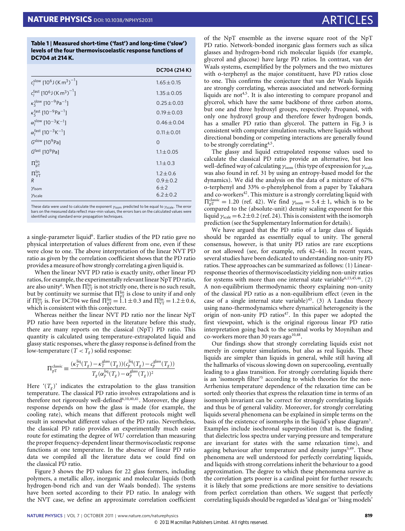<span id="page-3-0"></span>**Table 1** | **Measured short-time ('fast') and long-time ('slow') levels of the four thermoviscoelastic response functions of DC704 at 214 K.**

|                                                                            | DC704 (214 K)   |
|----------------------------------------------------------------------------|-----------------|
| $c_1^{\text{slow}}$ [10 <sup>6</sup> J (K m <sup>3</sup> ) <sup>-1</sup> ] | $1.65 \pm 0.15$ |
| $c_1^{\text{fast}}$ [10 <sup>6</sup> J (K m <sup>3</sup> ) <sup>-1</sup> ] | $1.35 \pm 0.05$ |
| $\kappa_{\rm s}^{\rm slow}$ [10 <sup>-9</sup> Pa <sup>-1</sup> ]           | $0.25 + 0.03$   |
| $\kappa_{\rm s}^{\rm fast}$ [10 <sup>-9</sup> Pa <sup>-1</sup> ]           | $0.19 \pm 0.03$ |
| $\alpha_l^{\text{slow}}$ [10 <sup>-3</sup> K <sup>-1</sup> ]               | $0.46 \pm 0.04$ |
| $\alpha_l^{\text{fast}}$ [10 <sup>-3</sup> K <sup>-1</sup> ]               | $0.11 \pm 0.01$ |
| $Gslow$ [10 <sup>9</sup> Pa]                                               | $\Omega$        |
| $Gfast$ [10 <sup>9</sup> Pa]                                               | $1.1 \pm 0.05$  |
| $\Pi_{pT}^{\text{lin}}$                                                    | $1.1 \pm 0.3$   |
| $\Pi_{\text{VT}}^{\text{lin}}$                                             | $1.2 \pm 0.6$   |
| R                                                                          | $0.9 \pm 0.2$   |
| Yisom                                                                      | 6±2             |
| $\gamma_{\text{scale}}$                                                    | $6.2 \pm 0.2$   |

These data were used to calculate the exponent  $\gamma_{\rm som}$  predicted to be equal to  $\gamma_{\rm scale}$ . The error bars on the measured data reflect max–min values, the errors bars on the calculated values were identified using standard error propagation techniques.

a single-parameter liquid<sup>[6](#page-4-4)</sup>. Earlier studies of the PD ratio gave no physical interpretation of values different from one, even if these were close to one. The above interpretation of the linear NVT PD ratio as given by the correlation coefficient shows that the PD ratio provides a measure of how strongly correlating a given liquid is.

When the linear NVT PD ratio is exactly unity, other linear PD ratios, for example, the experimentally relevant linear NpT PD ratio, are also unity<sup>[6](#page-4-4)</sup>. When  $\Pi^{\text{lin}}_{\text{VT}}$  is not strictly one, there is no such result, but by continuity we surmise that  $\Pi^{\text{lin}}_{\text{pT}}$  is close to unity if and only if  $\Pi_{\text{VT}}^{\text{lin}}$  is. For DC704 we find  $\Pi_{\text{pT}}^{\text{lin}} = 1.1 \pm 0.3$  and  $\Pi_{\text{VT}}^{\text{lin}} = 1.2 \pm 0.6$ , which is consistent with this conjecture.

Whereas neither the linear NVT PD ratio nor the linear NpT PD ratio have been reported in the literature before this study, there are many reports on the classical (NpT) PD ratio. This quantity is calculated using temperature-extrapolated liquid and glassy static responses, where the glassy response is defined from the low-temperature ( $T < T_g$ ) solid response:

$$
\Pi_{\text{pT}}^{\text{classic}} \equiv \frac{(\kappa_T^{\text{liq}}(T_g) - \kappa_T^{\text{glass}}(T_g)) (c_p^{\text{liq}}(T_g) - c_p^{\text{glass}}(T_g))}{T_g(\alpha_p^{\text{liq}}(T_g) - \alpha_p^{\text{glass}}(T_g))^2}
$$

Here  $(T_g)$  indicates the extrapolation to the glass transition temperature. The classical PD ratio involves extrapolations and is therefore not rigorously well-defined<sup>[6,](#page-4-4)[10](#page-5-20)[,40,](#page-5-21)[41](#page-5-22)</sup>. Moreover, the glassy response depends on how the glass is made (for example, the cooling rate), which means that different protocols might well result in somewhat different values of the PD ratio. Nevertheless, the classical PD ratio provides an experimentally much easier route for estimating the degree of *WU* correlation than measuring the proper frequency-dependent linear thermoviscoelastic response functions at one temperature. In the absence of linear PD ratio data we compiled all the literature data we could find on the classical PD ratio.

[Figure 3](#page-4-7) shows the PD values for 22 glass formers, including polymers, a metallic alloy, inorganic and molecular liquids (both hydrogen-bond rich and van der Waals bonded). The systems have been sorted according to their PD ratio. In analogy with the NVT case, we define an approximate correlation coefficient

of the NpT ensemble as the inverse square root of the NpT PD ratio. Network-bonded inorganic glass formers such as silica glasses and hydrogen-bond rich molecular liquids (for example, glycerol and glucose) have large PD ratios. In contrast, van der Waals systems, exemplified by the polymers and the two mixtures with o-terphenyl as the major constituent, have PD ratios close to one. This confirms the conjecture that van der Waals liquids are strongly correlating, whereas associated and network-forming liquids are not<sup>[4,](#page-4-6)[5](#page-4-3)</sup>. It is also interesting to compare propanol and glycerol, which have the same backbone of three carbon atoms, but one and three hydroxyl groups, respectively. Propanol, with only one hydroxyl group and therefore fewer hydrogen bonds, has a smaller PD ratio than glycerol. The pattern in [Fig. 3](#page-4-7) is consistent with computer simulation results, where liquids without directional bonding or competing interactions are generally found to be strongly correlating<sup>[4,](#page-4-6)[5](#page-4-3)</sup>.

The glassy and liquid extrapolated response values used to calculate the classical PD ratio provide an alternative, but less well-defined way of calculating  $\gamma_{\text{som}}$  (this type of expression for  $\gamma_{\text{scale}}$ was also found in ref. [31](#page-5-11) by using an entropy-based model for the dynamics). We did the analysis on the data of a mixture of 67% o-terphenyl and 33% o-phenylphenol from a paper by Takahara and co-workers<sup>[42](#page-5-23)</sup>. This mixture is a strongly correlating liquid with  $\Pi_{\text{pT}}^{\text{classic}} = 1.20$  (ref. [42\)](#page-5-23). We find  $\gamma_{\text{isom}} = 5.4 \pm 1$ , which is to be compared to the (absolute-unit) density scaling exponent for this liquid  $\gamma_{\text{scale}} = 6.2 \pm 0.2$  (ref. [24\)](#page-5-4). This is consistent with the isomorph prediction (see the Supplementary Information for details).

We have argued that the PD ratio of a large class of liquids should be regarded as essentially equal to unity. The general consensus, however, is that unity PD ratios are rare exceptions or not allowed (see, for example, refs [42](#page-5-23)[–44\)](#page-5-24). In recent years, several studies have been dedicated to understanding non-unity PD ratios. These approaches can be summarized as follows: (1) Linearresponse theories of thermoviscoelasticity yielding non-unity ratios for systems with more than one internal state variable<sup>[6,](#page-4-4)[13](#page-5-25)[,45,](#page-5-26)[46](#page-5-27)</sup>. (2) A non-equilibrium thermodynamic theory explaining non-unity of the classical PD ratio as a non-equilibrium effect (even in the case of a single internal state variable) $43$ . (3) A Landau theory using nano-thermodynamics where dynamical heterogeneity is the origin of non-unity PD ratios<sup>[47](#page-5-29)</sup>. In this paper we adopted the first viewpoint, which is the original rigorous linear PD ratio interpretation going back to the seminal works by Moynihan and co-workers more than 30 years ago $10,48$  $10,48$ .

Our findings show that strongly correlating liquids exist not merely in computer simulations, but also as real liquids. These liquids are simpler than liquids in general, while still having all the hallmarks of viscous slowing down on supercooling, eventually leading to a glass transition. For strongly correlating liquids there is an 'isomorph filter'<sup>[5](#page-4-3)</sup> according to which theories for the non-Arrhenius temperature dependence of the relaxation time can be sorted: only theories that express the relaxation time in terms of an isomorph invariant can be correct for strongly correlating liquids and thus be of general validity. Moreover, for strongly correlating liquids several phenomena can be explained in simple terms on the basis of the existence of isomorphs in the liquid's phase diagram<sup>[5](#page-4-3)</sup>. Examples include isochronal superposition (that is, the finding that dielectric loss spectra under varying pressure and temperature are invariant for states with the same relaxation time), and ageing behaviour after temperature and density jumps $5,49$  $5,49$ . These phenomena are well understood for perfectly correlating liquids, and liquids with strong correlations inherit the behaviour to a good approximation. The degree to which these phenomena survive as the correlation gets poorer is a cardinal point for further research; it is likely that some predictions are more sensitive to deviations from perfect correlation than others. We suggest that perfectly correlating liquids should be regarded as 'ideal gas' or 'Ising models'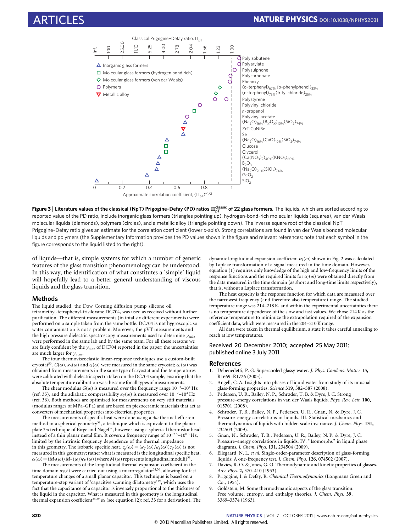

<span id="page-4-7"></span>**Figure 3 | Literature values of the classical (NpT) Prigogine–Defay (PD) ratios**  $\Pi_{\sf pT}^{\sf classic}$  **of 22 glass formers. The liquids, which are sorted according to** reported value of the PD ratio, include inorganic glass formers (triangles pointing up), hydrogen-bond-rich molecular liquids (squares), van der Waals molecular liquids (diamonds), polymers (circles), and a metallic alloy (triangle pointing down). The inverse square root of the classical NpT Prigogine–Defay ratio gives an estimate for the correlation coefficient (lower *x*-axis). Strong correlations are found in van der Waals bonded molecular liquids and polymers (the Supplementary Information provides the PD values shown in the figure and relevant references; note that each symbol in the figure corresponds to the liquid listed to the right).

of liquids—that is, simple systems for which a number of generic features of the glass transition phenomenology can be understood. In this way, the identification of what constitutes a 'simple' liquid will hopefully lead to a better general understanding of viscous liquids and the glass transition.

# **Methods**

The liquid studied, the Dow Corning diffusion pump silicone oil tetramethyl-tetraphenyl-trisiloxane DC704, was used as received without further purification. The different measurements (in total six different experiments) were performed on a sample taken from the same bottle. DC704 is not hygroscopic so water contamination is not a problem. Moreover, the pVT measurements and the high pressure dielectric spectroscopy measurements used to determine  $\gamma_{\text{scale}}$ were performed in the same lab and by the same team. For all these reasons we are fairly confident by the  $\gamma_{\rm scale}$  of DC704 reported in the paper; the uncertainties are much larger for  $\gamma_\mathrm{isom}$ 

The four thermoviscoelastic linear-response techniques use a custom-built cryostat<sup>[50](#page-5-32)</sup>.  $G(\omega)$ ,  $\kappa_S(\omega)$  and  $c_l(\omega)$  were measured in the same cryostat;  $\alpha_l(\omega)$  was obtained from measurements in the same type of cryostat and the temperatures were calibrated with dielectric spectra taken on the DC704 sample, ensuring that the absolute temperature calibration was the same for all types of measurements.

The shear modulus  $G(\omega)$  is measured over the frequency range  $10^{-3}\text{--}10^{4}\,\text{Hz}$ (ref. [35\)](#page-5-16), and the adiabatic compressibility  $\kappa_S(\omega)$  is measured over  $10^{-2}-10^4\,\mathrm{Hz}$ (ref. [36\)](#page-5-17). Both methods are optimized for measurements on very stiff materials (modulus ranges of MPa–GPa) and are based on piezoceramic materials that act as converters of mechanical properties into electrical properties.

The measurements of specific heat were done using a  $3\omega$  thermal-effusion method in a spherical geometry<sup>[38](#page-5-19)</sup>, a technique which is equivalent to the planar plate  $3\omega$  technique of Birge and Nagel<sup>[37](#page-5-18)</sup>, however using a spherical thermistor bead instead of a thin planar metal film. It covers a frequency range of 10<sup>−</sup>2.<sup>5</sup>–10<sup>0</sup>.<sup>5</sup> Hz, limited by the intrinsic frequency dependence of the thermal impedance in this geometry. The isobaric specific heat,  $c_p(\omega) = (\kappa_T(\omega)/\kappa_S(\omega))c_V(\omega)$  is not measured in this geometry; rather what is measured is the longitudinal specific heat,  $c_l(\omega) = (M_S(\omega)/M_T(\omega))c_V(\omega)$  (where  $M(\omega)$  represents longitudinal moduli)<sup>[38](#page-5-19)</sup> .

The measurements of the longitudinal thermal expansion coefficient in the time domain  $\alpha_l(t)$  were carried out using a microregulator<sup>[34,](#page-5-13)[50](#page-5-32)</sup>, allowing for fast temperature changes of a small planar capacitor. This technique is based on a temperature-step variant of 'capacitive scanning dilatometry'[39](#page-5-15), which uses the fact that the capacitance of a capacitor is inversely proportional to the thickness of the liquid in the capacitor. What is measured in this geometry is the longitudinal thermal expansion coefficient<sup>[34,](#page-5-13)[39](#page-5-15)</sup>  $\alpha_l$  (see equation [\(2\)](#page-2-0); ref. [33](#page-5-14) for a derivation). The dynamic longitudinal expansion coefficient α*l*(ω) shown in [Fig. 2](#page-2-1) was calculated by Laplace transformation of a signal measured in the time domain. However, equation [\(1\)](#page-1-1) requires only knowledge of the high and low-frequency limits of the response functions and the required limits for  $\alpha_l(\omega)$  were obtained directly from the data measured in the time domain (as short and long-time limits respectively), that is, without a Laplace transformation.

The heat capacity is the response function for which data are measured over the narrowest frequency (and therefore also temperature) range. The studied temperature range was 214–218 K, and within the experimental uncertainties there is no temperature dependence of the slow and fast values. We chose 214 K as the reference temperature to minimize the extrapolation required of the expansion coefficient data, which were measured in the 204–210 K range.

All data were taken in thermal equilibrium, a state it takes careful annealing to reach at low temperatures.

## Received 20 December 2010; accepted 25 May 2011; published online 3 July 2011

### **References**

- <span id="page-4-0"></span>1. Debenedetti, P. G. Supercooled glassy water. *J. Phys. Condens. Matter* **15,** R1669–R1726 (2003).
- <span id="page-4-1"></span>2. Angell, C. A. Insights into phases of liquid water from study of its unusual glass-forming properties. *Science* **319,** 582–587 (2008).
- <span id="page-4-2"></span>3. Pedersen, U. R., Bailey, N. P., Schrøder, T. B. & Dyre, J. C. Strong pressure–energy correlations in van der Waals liquids. *Phys. Rev. Lett.* **100,** 015701 (2008).
- <span id="page-4-6"></span>4. Schrøder, T. B., Bailey, N. P., Pedersen, U. R., Gnan, N. & Dyre, J. C. Pressure–energy correlations in liquids. III. Statistical mechanics and thermodynamics of liquids with hidden scale invariance. *J. Chem. Phys.* **131,** 234503 (2009).
- <span id="page-4-3"></span>5. Gnan, N., Schrøder, T. B., Pedersen, U. R., Bailey, N. P. & Dyre, J. C. Pressure–energy correlations in liquids. IV. ''Isomorphs'' in liquid phase diagrams. *J. Chem. Phys.* **131,** 234504 (2009).
- <span id="page-4-4"></span>6. Ellegaard, N. L. *et al*. Single-order-parameter description of glass-forming liquids: A one-frequency test. *J. Chem. Phys.* **126,** 074502 (2007).
- <span id="page-4-5"></span>7. Davies, R. O. & Jones, G. O. Thermodynamic and kinetic properties of glasses. *Adv. Phys.* **2,** 370–410 (1953).
- 8. Prigogine, I. & Defay, R. *Chemical Thermodynamics* (Longmans Green and Co., 1954).
- 9. Goldstein, M. Some thermodynamic aspects of the glass transition: Free volume, entropy, and enthalpy theories. *J. Chem. Phys.* **39,** 3369–3374 (1963).